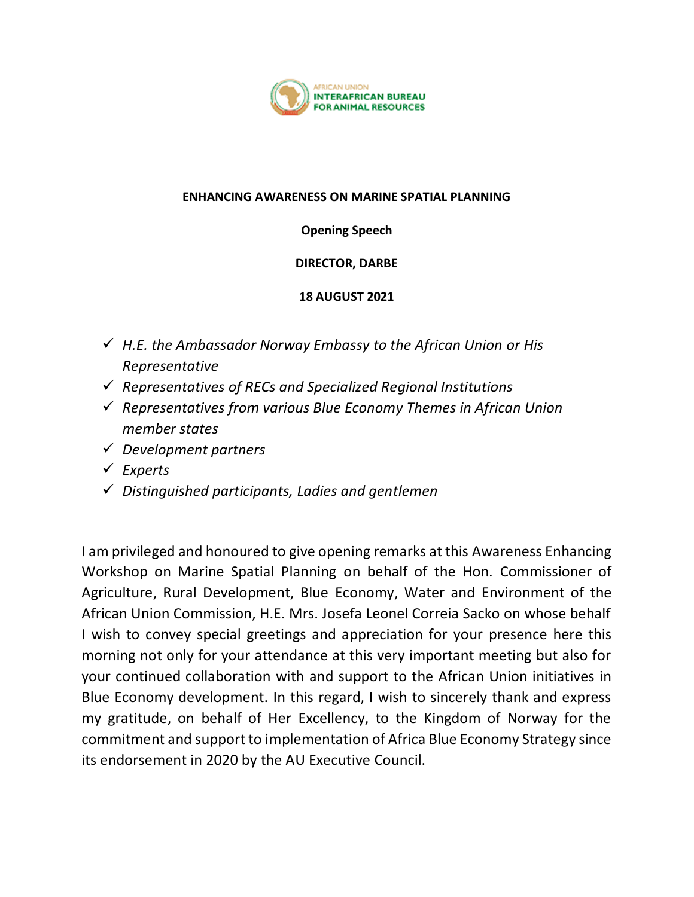

## **ENHANCING AWARENESS ON MARINE SPATIAL PLANNING**

**Opening Speech**

**DIRECTOR, DARBE**

## **18 AUGUST 2021**

- *H.E. the Ambassador Norway Embassy to the African Union or His Representative*
- *Representatives of RECs and Specialized Regional Institutions*
- *Representatives from various Blue Economy Themes in African Union member states*
- *Development partners*
- *Experts*
- *Distinguished participants, Ladies and gentlemen*

I am privileged and honoured to give opening remarks at this Awareness Enhancing Workshop on Marine Spatial Planning on behalf of the Hon. Commissioner of Agriculture, Rural Development, Blue Economy, Water and Environment of the African Union Commission, H.E. Mrs. Josefa Leonel Correia Sacko on whose behalf I wish to convey special greetings and appreciation for your presence here this morning not only for your attendance at this very important meeting but also for your continued collaboration with and support to the African Union initiatives in Blue Economy development. In this regard, I wish to sincerely thank and express my gratitude, on behalf of Her Excellency, to the Kingdom of Norway for the commitment and support to implementation of Africa Blue Economy Strategy since its endorsement in 2020 by the AU Executive Council.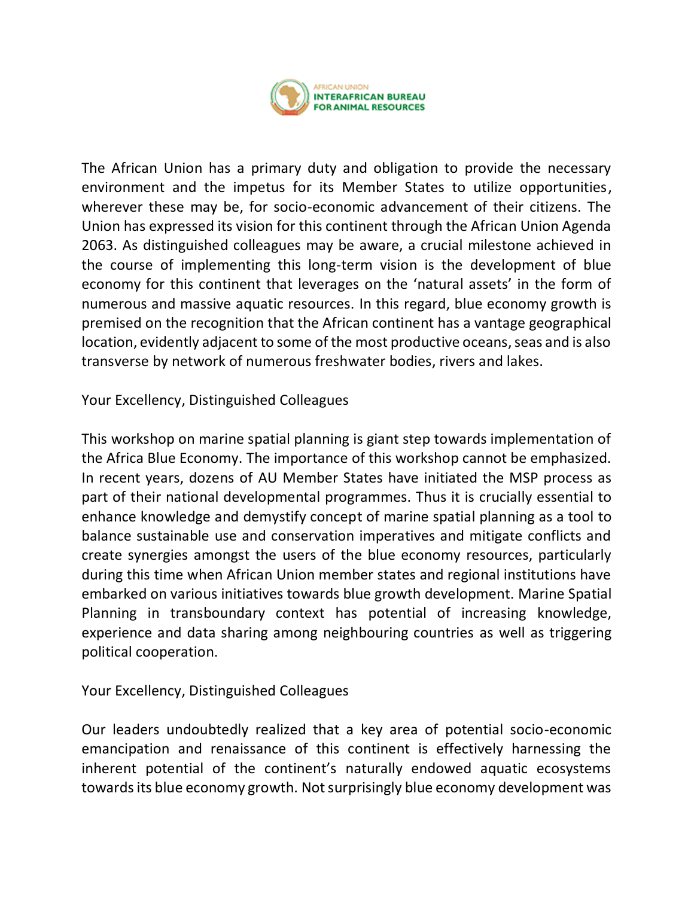

The African Union has a primary duty and obligation to provide the necessary environment and the impetus for its Member States to utilize opportunities, wherever these may be, for socio-economic advancement of their citizens. The Union has expressed its vision for this continent through the African Union Agenda 2063. As distinguished colleagues may be aware, a crucial milestone achieved in the course of implementing this long-term vision is the development of blue economy for this continent that leverages on the 'natural assets' in the form of numerous and massive aquatic resources. In this regard, blue economy growth is premised on the recognition that the African continent has a vantage geographical location, evidently adjacent to some of the most productive oceans, seas and is also transverse by network of numerous freshwater bodies, rivers and lakes.

Your Excellency, Distinguished Colleagues

This workshop on marine spatial planning is giant step towards implementation of the Africa Blue Economy. The importance of this workshop cannot be emphasized. In recent years, dozens of AU Member States have initiated the MSP process as part of their national developmental programmes. Thus it is crucially essential to enhance knowledge and demystify concept of marine spatial planning as a tool to balance sustainable use and conservation imperatives and mitigate conflicts and create synergies amongst the users of the blue economy resources, particularly during this time when African Union member states and regional institutions have embarked on various initiatives towards blue growth development. Marine Spatial Planning in transboundary context has potential of increasing knowledge, experience and data sharing among neighbouring countries as well as triggering political cooperation.

Your Excellency, Distinguished Colleagues

Our leaders undoubtedly realized that a key area of potential socio-economic emancipation and renaissance of this continent is effectively harnessing the inherent potential of the continent's naturally endowed aquatic ecosystems towards its blue economy growth. Not surprisingly blue economy development was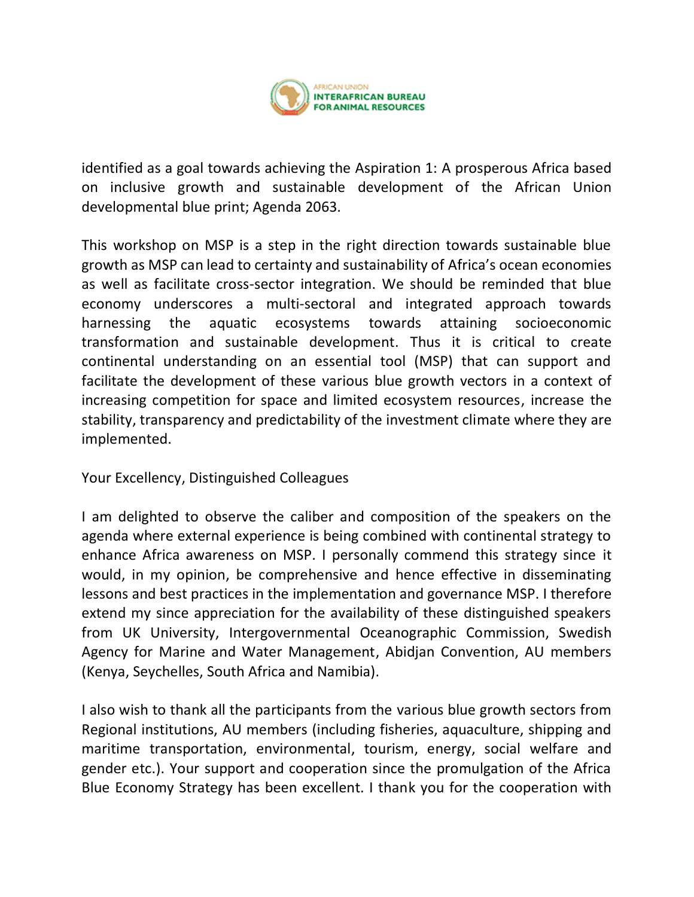

identified as a goal towards achieving the Aspiration 1: A prosperous Africa based on inclusive growth and sustainable development of the African Union developmental blue print; Agenda 2063.

This workshop on MSP is a step in the right direction towards sustainable blue growth as MSP can lead to certainty and sustainability of Africa's ocean economies as well as facilitate cross-sector integration. We should be reminded that blue economy underscores a multi-sectoral and integrated approach towards harnessing the aquatic ecosystems towards attaining socioeconomic transformation and sustainable development. Thus it is critical to create continental understanding on an essential tool (MSP) that can support and facilitate the development of these various blue growth vectors in a context of increasing competition for space and limited ecosystem resources, increase the stability, transparency and predictability of the investment climate where they are implemented.

Your Excellency, Distinguished Colleagues

I am delighted to observe the caliber and composition of the speakers on the agenda where external experience is being combined with continental strategy to enhance Africa awareness on MSP. I personally commend this strategy since it would, in my opinion, be comprehensive and hence effective in disseminating lessons and best practices in the implementation and governance MSP. I therefore extend my since appreciation for the availability of these distinguished speakers from UK University, Intergovernmental Oceanographic Commission, Swedish Agency for Marine and Water Management, Abidjan Convention, AU members (Kenya, Seychelles, South Africa and Namibia).

I also wish to thank all the participants from the various blue growth sectors from Regional institutions, AU members (including fisheries, aquaculture, shipping and maritime transportation, environmental, tourism, energy, social welfare and gender etc.). Your support and cooperation since the promulgation of the Africa Blue Economy Strategy has been excellent. I thank you for the cooperation with